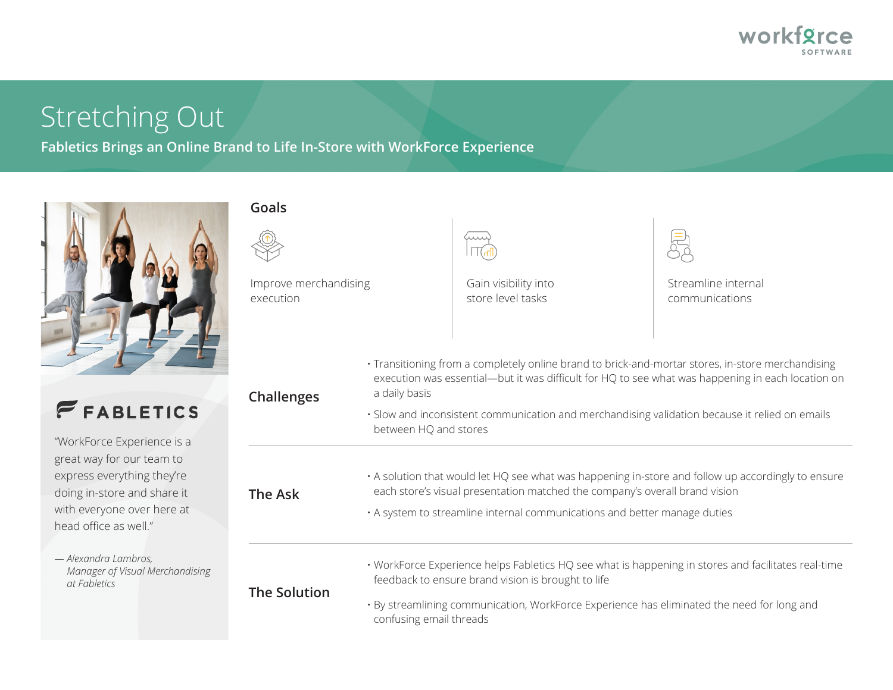

# Stretching Out

**Fabletics Brings an Online Brand to Life In-Store with WorkForce Experience**



#### **Goals**



**The Solution**

Improve merchandising execution



Gain visibility into store level tasks

Streamline internal communications

| <b>FEABLETICS</b>           | Challenges | a dail               |
|-----------------------------|------------|----------------------|
|                             |            | $\cdot$ Slow<br>betw |
| "WorkForce Experience is a  |            |                      |
| great way for our team to   |            |                      |
| express everything they're  |            | $\cdot$ A solu       |
| doing in-store and share it | The Ask    | each                 |
| with everyone over here at  |            | $\cdot$ A svs        |

*— Alexandra Lambros, Manager of Visual Merchandising at Fabletics* 

head office as well."

• Transitioning from a completely online brand to brick-and-mortar stores, in-store merchandising execution was essential—but it was difficult for HQ to see what was happening in each location on ly basis

and inconsistent communication and merchandising validation because it relied on emails een HQ and stores

ution that would let HQ see what was happening in-store and follow up accordingly to ensure store's visual presentation matched the company's overall brand vision

• A system to streamline internal communications and better manage duties

• WorkForce Experience helps Fabletics HQ see what is happening in stores and facilitates real-time feedback to ensure brand vision is brought to life

• By streamlining communication, WorkForce Experience has eliminated the need for long and confusing email threads